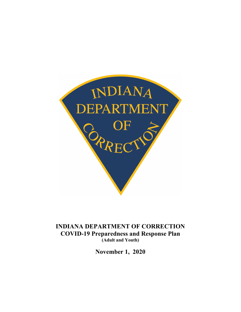

**INDIANA DEPARTMENT OF CORRECTION COVID-19 Preparedness and Response Plan (Adult and Youth)**

**November 1, 2020**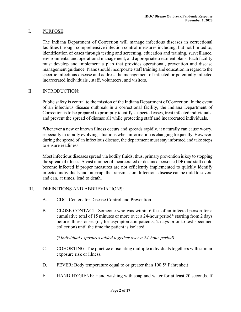### I. PURPOSE:

The Indiana Department of Correction will manage infectious diseases in correctional facilities through comprehensive infection control measures including, but not limited to, identification of cases through testing and screening, education and training, surveillance, environmental and operational management, and appropriate treatment plans. Each facility must develop and implement a plan that provides operational, prevention and disease management guidance. Plans should incorporate staff training and education in regard to the specific infectious disease and address the management of infected or potentially infected incarcerated individuals , staff, volunteers, and visitors.

### II. INTRODUCTION:

Public safety is central to the mission of the Indiana Department of Correction. In the event of an infectious disease outbreak in a correctional facility, the Indiana Department of Correction is to be prepared to promptly identify suspected cases, treat infected individuals, and prevent the spread of disease all while protecting staff and incarcerated individuals.

Whenever a new or known illness occurs and spreads rapidly, it naturally can cause worry, especially in rapidly evolving situations when information is changing frequently. However, during the spread of an infectious disease, the department must stay informed and take steps to ensure readiness.

Most infectious diseases spread via bodily fluids; thus, primary prevention is key to stopping the spread of illness. A vast number of incarcerated or detained persons (IDP) and staff could become infected if proper measures are not efficiently implemented to quickly identify infected individuals and interrupt the transmission. Infectious disease can be mild to severe and can, at times, lead to death.

### III. DEFINITIONS AND ABBREVIATIONS:

- A. CDC: Centers for Disease Control and Prevention
- B. CLOSE CONTACT: Someone who was within 6 feet of an infected person for a cumulative total of 15 minutes or more over a 24-hour period\* starting from 2 days before illness onset (or, for asymptomatic patients, 2 days prior to test specimen collection) until the time the patient is isolated.

### (\**Individual exposures added together over a 24-hour period)*

- C. COHORTING: The practice of isolating multiple individuals togethers with similar exposure risk or illness.
- D. FEVER: Body temperature equal to or greater than 100.5° Fahrenheit
- E. HAND HYGIENE: Hand washing with soap and water for at least 20 seconds. If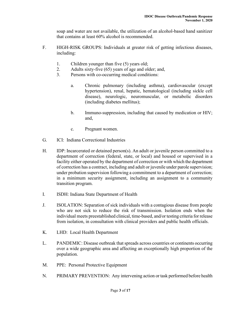soap and water are not available, the utilization of an alcohol-based hand sanitizer that contains at least 60% alcohol is recommended.

- F. HIGH-RISK GROUPS: Individuals at greater risk of getting infectious diseases, including:
	- 1. Children younger than five (5) years old;
	- 2. Adults sixty-five (65) years of age and older; and,
	- 3. Persons with co-occurring medical conditions:
		- a. Chronic pulmonary (including asthma), cardiovascular (except hypertension), renal, hepatic, hematological (including sickle cell disease), neurologic, neuromuscular, or metabolic disorders (including diabetes mellitus);
		- b. Immuno-suppression, including that caused by medication or HIV; and,
		- c. Pregnant women.
- G. ICI: Indiana Correctional Industries
- H. IDP: Incarcerated or detained person(s). An adult or juvenile person committed to a department of correction (federal, state, or local) and housed or supervised in a facility either operated by the department of correction or with which the department of correction has a contract, including and adult or juvenile under parole supervision; under probation supervision following a commitment to a department of correction; in a minimum security assignment, including an assignment to a community transition program.
- I. ISDH: Indiana State Department of Health
- J. ISOLATION: Separation of sick individuals with a contagious disease from people who are not sick to reduce the risk of transmission. Isolation ends when the individual meets preestablished clinical, time-based, and/or testing criteria for release from isolation, in consultation with clinical providers and public health officials.
- K. LHD: Local Health Department
- L. PANDEMIC: Disease outbreak that spreads across countries or continents occurring over a wide geographic area and affecting an exceptionally high proportion of the population.
- M. PPE: Personal Protective Equipment
- N. PRIMARY PREVENTION: Any intervening action or task performed before health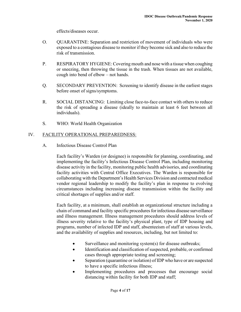effects/diseases occur.

- O. QUARANTINE: Separation and restriction of movement of individuals who were exposed to a contagious disease to monitor if they become sick and also to reduce the risk of transmission.
- P. RESPIRATORY HYGIENE: Covering mouth and nose with a tissue when coughing or sneezing, then throwing the tissue in the trash. When tissues are not available, cough into bend of elbow – not hands.
- Q. SECONDARY PREVENTION: Screening to identify disease in the earliest stages before onset of signs/symptoms.
- R. SOCIAL DISTANCING: Limiting close face-to-face contact with others to reduce the risk of spreading a disease (ideally to maintain at least 6 feet between all individuals).
- S. WHO: World Health Organization

# IV. FACILITY OPERATIONAL PREPAREDNESS:

A. Infectious Disease Control Plan

Each facility's Warden (or designee) is responsible for planning, coordinating, and implementing the facility's Infectious Disease Control Plan, including monitoring disease activity in the facility, monitoring public health advisories, and coordinating facility activities with Central Office Executives. The Warden is responsible for collaborating with the Department's Health Services Division and contracted medical vendor regional leadership to modify the facility's plan in response to evolving circumstances including increasing disease transmission within the facility and critical shortages of supplies and/or staff.

Each facility, at a minimum, shall establish an organizational structure including a chain of command and facility specific procedures for infectious disease surveillance and illness management. Illness management procedures should address levels of illness severity relative to the facility's physical plant, type of IDP housing and programs, number of infected IDP and staff, absenteeism of staff at various levels, and the availability of supplies and resources, including, but not limited to:

- Surveillance and monitoring system(s) for disease outbreaks;
- Identification and classification of suspected, probable, or confirmed cases through appropriate testing and screening;
- Separation (quarantine or isolation) of IDP who have or are suspected to have a specific infectious illness;
- Implementing procedures and processes that encourage social distancing within facility for both IDP and staff;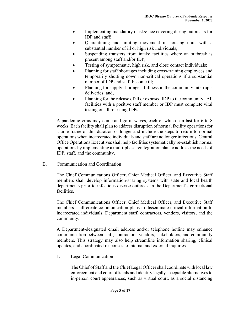- Implementing mandatory masks/face covering during outbreaks for IDP and staff;
- Quarantining and limiting movement in housing units with a substantial number of ill or high risk individuals;
- Suspending transfers from intake facilities where an outbreak is present among staff and/or IDP;
- Testing of symptomatic, high risk, and close contact individuals;
- Planning for staff shortages including cross-training employees and temporarily shutting down non-critical operations if a substantial number of IDP and staff become ill;
- Planning for supply shortages if illness in the community interrupts deliveries; and,
- Planning for the release of ill or exposed IDP to the community. All facilities with a positive staff member or IDP must complete viral testing on all releasing IDPs.

A pandemic virus may come and go in waves, each of which can last for 6 to 8 weeks. Each facility shall plan to address disruption of normal facility operations for a time frame of this duration or longer and include the steps to return to normal operations when incarcerated individuals and staff are no longer infectious. Central Office Operations Executives shall help facilities systematically re-establish normal operations by implementing a multi-phase reintegration plan to address the needs of IDP, staff, and the community.

B. Communication and Coordination

The Chief Communications Officer, Chief Medical Officer, and Executive Staff members shall develop information-sharing systems with state and local health departments prior to infectious disease outbreak in the Department's correctional facilities.

The Chief Communications Officer, Chief Medical Officer, and Executive Staff members shall create communication plans to disseminate critical information to incarcerated individuals, Department staff, contractors, vendors, visitors, and the community.

A Department-designated email address and/or telephone hotline may enhance communication between staff, contractors, vendors, stakeholders, and community members. This strategy may also help streamline information sharing, clinical updates, and coordinated responses to internal and external inquiries.

1. Legal Communication

The Chief of Staff and the Chief Legal Officer shall coordinate with local law enforcement and court officials and identify legally acceptable alternatives to in-person court appearances, such as virtual court, as a social distancing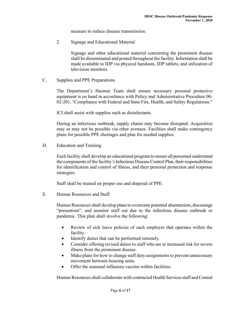measure to reduce disease transmission.

2. Signage and Educational Material

Signage and other educational material concerning the prominent disease shall be disseminated and posted throughout the facility. Information shall be made available to IDP via physical handouts, IDP tablets, and utilization of television monitors.

C. Supplies and PPE Preparations

The Department's Hazmat Team shall ensure necessary personal protective equipment is on hand in accordance with Policy and Administrative Procedure 00- 02-201, "Compliance with Federal and State Fire, Health, and Safety Regulations."

ICI shall assist with supplies such as disinfectants.

During an infectious outbreak, supply chains may become disrupted. Acquisition may or may not be possible via other avenues. Facilities shall make contingency plans for possible PPE shortages and plan for needed supplies.

D. Education and Training

Each facility shall develop an educational program to ensure all personnel understand the components of the facility's Infectious Disease Control Plan, their responsibilities for identification and control of illness, and their personal protection and response strategies.

Staff shall be trained on proper use and disposal of PPE.

E. Human Resources and Staff

Human Resources shall develop plans to overcome potential absenteeism, discourage "presentism", and monitor staff out due to the infectious disease outbreak or pandemic. This plan shall involve the following:

- Review of sick leave policies of each employer that operates within the facility.
- Identify duties that can be performed remotely.
- Consider offering revised duties to staff who are at increased risk for severe illness from the prominent disease.
- Make plans for how to change staff duty assignments to prevent unnecessary movement between housing units.
- Offer the seasonal influenza vaccine within facilities.

Human Resourcesshall collaborate with contracted Health Servicesstaff and Central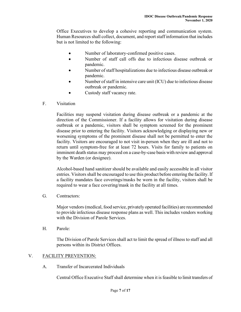Office Executives to develop a cohesive reporting and communication system. Human Resources shall collect, document, and report staff information that includes but is not limited to the following:

- Number of laboratory-confirmed positive cases.
- Number of staff call offs due to infectious disease outbreak or pandemic.
- Number of staff hospitalizations due to infectious disease outbreak or pandemic.
- Number of staff in intensive care unit (ICU) due to infectious disease outbreak or pandemic.
- Custody staff vacancy rate.
- F. Visitation

Facilities may suspend visitation during disease outbreak or a pandemic at the direction of the Commissioner. If a facility allows for visitation during disease outbreak or a pandemic, visitors shall be symptom screened for the prominent disease prior to entering the facility. Visitors acknowledging or displaying new or worsening symptoms of the prominent disease shall not be permitted to enter the facility. Visitors are encouraged to not visit in-person when they are ill and not to return until symptom-free for at least 72 hours. Visits for family to patients on imminent death status may proceed on a case-by-case basis with review and approval by the Warden (or designee).

Alcohol-based hand sanitizer should be available and easily accessible in all visitor entries. Visitors shall be encouraged to use this product before entering the facility. If a facility mandates face coverings/masks be worn in the facility, visitors shall be required to wear a face covering/mask in the facility at all times.

G. Contractors:

Major vendors (medical, food service, privately operated facilities) are recommended to provide infectious disease response plans as well. This includes vendors working with the Division of Parole Services.

H. Parole:

The Division of Parole Services shall act to limit the spread of illness to staff and all persons within its District Offices.

# V. **FACILITY PREVENTION:**

A. Transfer of Incarcerated Individuals

Central Office Executive Staffshall determine when it isfeasible to limit transfers of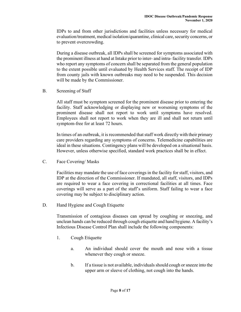IDPs to and from other jurisdictions and facilities unless necessary for medical evaluation/treatment, medical isolation/quarantine, clinical care, security concerns, or to prevent overcrowding.

During a disease outbreak, all IDPs shall be screened for symptoms associated with the prominent illness at hand at Intake prior to inter- and intra- facility transfer. IDPs who report any symptoms of concern shall be separated from the general population to the extent possible until evaluated by Health Services staff. The receipt of IDP from county jails with known outbreaks may need to be suspended. This decision will be made by the Commissioner.

B. Screening of Staff

All staff must be symptom screened for the prominent disease prior to entering the facility. Staff acknowledging or displaying new or worsening symptoms of the prominent disease shall not report to work until symptoms have resolved. Employees shall not report to work when they are ill and shall not return until symptom-free for at least 72 hours.

In times of an outbreak, it is recommended that staff work directly with their primary care providers regarding any symptoms of concerns. Telemedicine capabilities are ideal in these situations. Contingency plans will be developed on a situational basis. However, unless otherwise specified, standard work practices shall be in effect.

C. Face Covering/ Masks

Facilities may mandate the use of face coverings in the facility for staff, visitors, and IDP at the direction of the Commissioner. If mandated, all staff, visitors, and IDPs are required to wear a face covering in correctional facilities at all times. Face coverings will serve as a part of the staff's uniform. Staff failing to wear a face covering may be subject to disciplinary action.

D. Hand Hygiene and Cough Etiquette

Transmission of contagious diseases can spread by coughing or sneezing, and unclean hands can be reduced through cough etiquette and hand hygiene. A facility's Infectious Disease Control Plan shall include the following components:

- 1. Cough Etiquette
	- a. An individual should cover the mouth and nose with a tissue whenever they cough or sneeze.
	- b. If a tissue is not available, individuals should cough or sneeze into the upper arm or sleeve of clothing, not cough into the hands.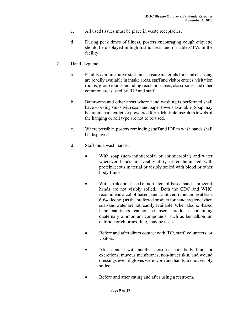- c. All used tissues must be place in waste receptacles.
- d. During peak times of illness, posters encouraging cough etiquette should be displayed in high traffic areas and on tablets/TVs in the facility.
- 2. Hand Hygiene
	- a. Facility administrative staff must ensure materials for hand cleansing are readily available in intake areas, staff and visitor entries, visitation rooms, group rooms including recreation areas, classrooms, and other common areas used by IDP and staff.
	- b. Bathrooms and other areas where hand washing is performed shall have working sinks with soap and paper towels available. Soap may be liquid, bar, leaflet, or powdered form. Multiple-use cloth towels of the hanging or roll type are not to be used.
	- c. Where possible, posters reminding staff and IDP to wash hands shall be displayed.
	- d. Staff must wash hands:
		- With soap (non-antimicrobial or antimicrobial) and water whenever hands are visibly dirty or contaminated with proteinaceous material or visibly soiled with blood or other body fluids.
		- With an alcohol-based or non-alcohol-based hand sanitizer if hands are not visibly soiled. Both the CDC and WHO recommend alcohol-based hand sanitizers (containing at least 60% alcohol) as the preferred product for hand hygiene when soap and water are not readily available. When alcohol-based hand sanitizers cannot be used, products containing quaternary ammonium compounds, such as benzalkonium chloride or chlorhexidine, may be used.
		- Before and after direct contact with IDP, staff, volunteers, or visitors.
		- After contact with another person's skin, body fluids or excretions, mucous membranes, non-intact skin, and wound dressings even if gloves were worn and hands are not visibly soiled.
		- Before and after eating and after using a restroom.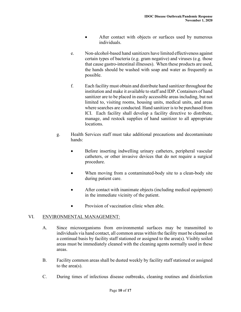- After contact with objects or surfaces used by numerous individuals.
- e. Non-alcohol-based hand sanitizers have limited effectiveness against certain types of bacteria (e.g. gram negative) and viruses (e.g. those that cause gastro-intestinal illnesses). When these products are used, the hands should be washed with soap and water as frequently as possible.
- f. Each facility must obtain and distribute hand sanitizer throughout the institution and make it available to staff and IDP. Containers of hand sanitizer are to be placed in easily accessible areas including, but not limited to, visiting rooms, housing units, medical units, and areas where searches are conducted. Hand sanitizer is to be purchased from ICI. Each facility shall develop a facility directive to distribute, manage, and restock supplies of hand sanitizer to all appropriate locations.
- g. Health Services staff must take additional precautions and decontaminate hands:
	- Before inserting indwelling urinary catheters, peripheral vascular catheters, or other invasive devices that do not require a surgical procedure.
	- When moving from a contaminated-body site to a clean-body site during patient care.
	- After contact with inanimate objects (including medical equipment) in the immediate vicinity of the patient.
	- Provision of vaccination clinic when able.

## VI. ENVIRONMENTAL MANAGEMENT:

- A. Since microorganisms from environmental surfaces may be transmitted to individuals via hand contact, all common areas within the facility must be cleaned on a continual basis by facility staff stationed or assigned to the area(s). Visibly soiled areas must be immediately cleaned with the cleaning agents normally used in these areas.
- B. Facility common areas shall be dusted weekly by facility staff stationed or assigned to the area(s).
- C. During times of infectious disease outbreaks, cleaning routines and disinfection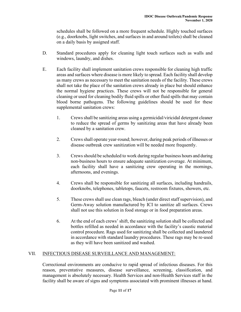schedules shall be followed on a more frequent schedule. Highly touched surfaces (e.g., doorknobs, light switches, and surfaces in and around toilets) shall be cleaned on a daily basis by assigned staff.

- D. Standard procedures apply for cleaning light touch surfaces such as walls and windows, laundry, and dishes.
- E. Each facility shall implement sanitation crews responsible for cleaning high traffic areas and surfaces where disease is more likely to spread. Each facility shall develop as many crews as necessary to meet the sanitation needs of the facility. These crews shall not take the place of the sanitation crews already in place but should enhance the normal hygiene practices. These crews will not be responsible for general cleaning or used for cleaning bodily fluid spills or other fluid spills that may contain blood borne pathogens. The following guidelines should be used for these supplemental sanitation crews:
	- 1. Crews shall be sanitizing areas using a germicidal/viricidal detergent cleaner to reduce the spread of germs by sanitizing areas that have already been cleaned by a sanitation crew.
	- 2. Crewsshall operate year-round; however, during peak periods of illnesses or disease outbreak crew sanitization will be needed more frequently.
	- 3. Crews should be scheduled to work during regular business hours and during non-business hours to ensure adequate sanitization coverage. At minimum, each facility shall have a sanitizing crew operating in the mornings, afternoons, and evenings.
	- 4. Crews shall be responsible for sanitizing all surfaces, including handrails, doorknobs, telephones, tabletops, faucets, restroom fixtures, showers, etc.
	- 5. These crews shall use clean rags, bleach (under direct staff supervision), and Germ-Away solution manufactured by ICI to sanitize all surfaces. Crews shall not use this solution in food storage or in food preparation areas.
	- 6. At the end of each crews' shift, the sanitizing solution shall be collected and bottles refilled as needed in accordance with the facility's caustic material control procedure. Rags used for sanitizing shall be collected and laundered in accordance with standard laundry procedures. These rags may be re-used as they will have been sanitized and washed.

## VII. INFECTIOUS DISEASE SURVEILLANCE AND MANAGEMENT:

Correctional environments are conducive to rapid spread of infectious diseases. For this reason, preventative measures, disease surveillance, screening, classification, and management is absolutely necessary. Health Services and non-Health Services staff in the facility shall be aware of signs and symptoms associated with prominent illnesses at hand.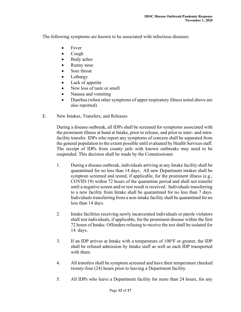The following symptoms are known to be associated with infectious diseases:

- **Fever**
- Cough
- Body aches
- Runny nose
- Sore throat
- Lethargy
- Lack of appetite
- New loss of taste or smell
- Nausea and vomiting
- Diarrhea (when other symptoms of upper respiratory illness noted above are also reported)
- E. New Intakes, Transfers, and Releases

During a disease outbreak, all IDPs shall be screened for symptoms associated with the prominent illness at hand at Intake, prior to release, and prior to inter- and intrafacility transfer. IDPs who report any symptoms of concern shall be separated from the general population to the extent possible until evaluated by Health Services staff. The receipt of IDPs from county jails with known outbreaks may need to be suspended. This decision shall be made by the Commissioner.

- 1. During a disease outbreak, individuals arriving at any Intake facility shall be quarantined for no less than 14 days. All new Department intakes shall be symptom screened and tested, if applicable, for the prominent illness (e.g., COVID-19) within 72 hours of the quarantine period and shall not transfer until a negative screen and/or test result is received. Individuals transferring to a new facility from Intake shall be quarantined for no less than 7 days. Individuals transferring from a non-intake facility shall be quarantined for no less than 14 days.
- 2. Intake facilities receiving newly incarcerated individuals or parole violators shall test individuals, if applicable, for the prominent disease within the first 72 hours of Intake. Offenders refusing to receive the test shall be isolated for 14 days.
- 3. If an IDP arrives at Intake with a temperature of 100°F or greater, the IDP shall be refused admission by Intake staff as well as each IDP transported with them.
- 4. All transfers shall be symptom screened and have their temperature checked twenty-four (24) hours prior to leaving a Department facility.
- 5. All IDPs who leave a Department facility for more than 24 hours, for any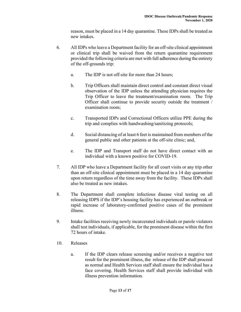reason, must be placed in a 14 day quarantine. These IDPs shall be treated as new intakes.

- 6. All IDPs who leave a Department facility for an off-site clinical appointment or clinical trip shall be waived from the return quarantine requirement provided the following criteria are met with full adherence during the entirety of the off-grounds trip:
	- a. The IDP is not off-site for more than 24 hours;
	- b. Trip Officers shall maintain direct control and constant direct visual observation of the IDP unless the attending physician requires the Trip Officer to leave the treatment/examination room. The Trip Officer shall continue to provide security outside the treatment / examination room;
	- c. Transported IDPs and Correctional Officers utilize PPE during the trip and complies with handwashing/sanitizing protocols;
	- d. Social distancing of at least 6 feet is maintained from members of the general public and other patients at the off-site clinic; and,
	- e. The IDP and Transport staff do not have direct contact with an individual with a known positive for COVID-19.
- 7. All IDP who leave a Department facility for all court visits or any trip other than an off-site clinical appointment must be placed in a 14 day quarantine upon return regardless of the time away from the facility. These IDPs shall also be treated as new intakes.
- 8. The Department shall complete infectious disease viral testing on all releasing IDPS if the IDP's housing facility has experienced an outbreak or rapid increase of laboratory-confirmed positive cases of the prominent illness.
- 9. Intake facilities receiving newly incarcerated individuals or parole violators shall test individuals, if applicable, for the prominent disease within the first 72 hours of intake.
- 10. Releases
	- a. If the IDP clears release screening and/or receives a negative test result for the prominent illness, the release of the IDP shall proceed as normal and Health Services staff shall ensure the individual has a face covering. Health Services staff shall provide individual with illness prevention information.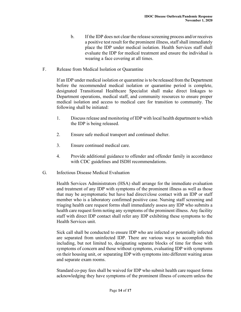- b. If the IDP does not clear the release screening process and/or receives a positive test result for the prominent illness, staff shall immediately place the IDP under medical isolation. Health Services staff shall evaluate the IDP for medical treatment and ensure the individual is wearing a face covering at all times.
- F. Release from Medical Isolation or Quarantine

If an IDP under medical isolation or quarantine is to be released from the Department before the recommended medical isolation or quarantine period is complete, designated Transitional Healthcare Specialist shall make direct linkages to Department operations, medical staff, and community resources to ensure proper medical isolation and access to medical care for transition to community. The following shall be initiated:

- 1. Discuss release and monitoring of IDP with local health department to which the IDP is being released.
- 2. Ensure safe medical transport and continued shelter.
- 3. Ensure continued medical care.
- 4. Provide additional guidance to offender and offender family in accordance with CDC guidelines and ISDH recommendations.
- G. Infectious Disease Medical Evaluation

Health Services Administrators (HSA) shall arrange for the immediate evaluation and treatment of any IDP with symptoms of the prominent illness as well as those that may be asymptomatic but have had direct/close contact with an IDP or staff member who is a laboratory confirmed positive case. Nursing staff screening and triaging health care request forms shall immediately assess any IDP who submits a health care request form noting any symptoms of the prominent illness. Any facility staff with direct IDP contact shall refer any IDP exhibiting these symptoms to the Health Services unit.

Sick call shall be conducted to ensure IDP who are infected or potentially infected are separated from uninfected IDP. There are various ways to accomplish this including, but not limited to, designating separate blocks of time for those with symptoms of concern and those without symptoms, evaluating IDP with symptoms on their housing unit, or separating IDP with symptoms into different waiting areas and separate exam rooms.

Standard co-pay fees shall be waived for IDP who submit health care request forms acknowledging they have symptoms of the prominent illness of concern unless the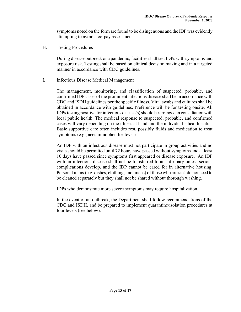symptoms noted on the form are found to be disingenuous and the IDP was evidently attempting to avoid a co-pay assessment.

H. Testing Procedures

During disease outbreak or a pandemic, facilities shall test IDPs with symptoms and exposure risk. Testing shall be based on clinical decision making and in a targeted manner in accordance with CDC guidelines.

I. Infectious Disease Medical Management

The management, monitoring, and classification of suspected, probable, and confirmed IDP cases of the prominent infectious disease shall be in accordance with CDC and ISDH guidelines per the specific illness. Viral swabs and cultures shall be obtained in accordance with guidelines. Preference will be for testing onsite. All IDPs testing positive for infectious disease(s) should be arranged in consultation with local public health. The medical response to suspected, probable, and confirmed cases will vary depending on the illness at hand and the individual's health status. Basic supportive care often includes rest, possibly fluids and medication to treat symptoms (e.g., acetaminophen for fever).

An IDP with an infectious disease must not participate in group activities and no visits should be permitted until 72 hours have passed without symptoms and at least 10 days have passed since symptoms first appeared or disease exposure. An IDP with an infectious disease shall not be transferred to an infirmary unless serious complications develop, and the IDP cannot be cared for in alternative housing. Personal items(e.g. dishes, clothing, and linens) of those who are sick do not need to be cleaned separately but they shall not be shared without thorough washing.

IDPs who demonstrate more severe symptoms may require hospitalization.

In the event of an outbreak, the Department shall follow recommendations of the CDC and ISDH, and be prepared to implement quarantine/isolation procedures at four levels (see below):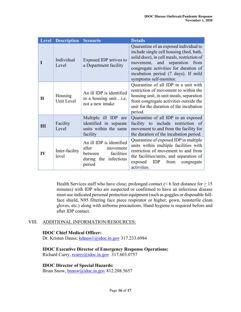|              | <b>Level Description</b> | <b>Scenario</b>                                                                                           | <b>Details</b>                                                                                                                                                                                                                                                                |
|--------------|--------------------------|-----------------------------------------------------------------------------------------------------------|-------------------------------------------------------------------------------------------------------------------------------------------------------------------------------------------------------------------------------------------------------------------------------|
|              | Individual<br>Level      | Exposed IDP arrives to<br>a Department facility                                                           | Quarantine of an exposed individual to<br>include single cell housing (bed, bath,<br>solid door), in cell meals, restriction of<br>movement, and separation<br>from<br>congregate activities for duration of<br>incubation period (7 days). If mild<br>symptoms self-monitor. |
| $\mathbf{I}$ | Housing<br>Unit Level    | An ill IDP is identified<br>in a housing unit<br>not a new intake                                         | Quarantine of all IDP in a unit with<br>restriction of movement to within the<br>housing unit, in unit meals, separation<br>from congregate activities outside the<br>unit for the duration of the incubation<br>period.                                                      |
| Ш            | Facility<br>Level        | Multiple ill IDP are<br>identified in separate<br>units within the same<br>facility                       | Quarantine of all IDP in an exposed<br>facility to include restriction of<br>movement to and from the facility for<br>the duration of the incubation period.                                                                                                                  |
| IV           | Inter-facility<br>level  | An ill IDP is identified<br>after<br>movement<br>facilities<br>between<br>during the infectious<br>period | Quarantine of exposed IDP in multiple<br>units within multiple facilities with<br>restriction of movement to and from<br>the facilities/units, and separation of<br>from<br>exposed<br>IDP<br>congregate<br>activities.                                                       |

Health Services staff who have close, prolonged contact ( $\leq 6$  feet distance for  $\geq 15$ ) minutes) with IDP who are suspected or confirmed to have an infectious disease must use indicated personal protection equipment (such as goggles or disposable fullface shield, N95 filtering face piece respirator or higher, gown, nonsterile clean gloves, etc.) along with airborne precautions. Hand hygiene is required before and after IDP contact.

### VIII. ADDITIONAL INFORMATION/RESOURCES:

### **IDOC Chief Medical Officer:**

Dr. Kristen Dauss; [kdauss1@idoc.in.gov](mailto:kdauss1@idoc.in.gov) 317.233.6984

**IDOC Executive Director of Emergency Response Operations:**

Richard Curry, [rcurry@idoc.in.gov](mailto:rcurry@idoc.in.gov) 317.603.0757

**IDOC Director of Special Hazards:**

Brian Snow, [bsnow@idoc.in.gov](mailto:bsnow@idoc.in.gov) 812.208.5657